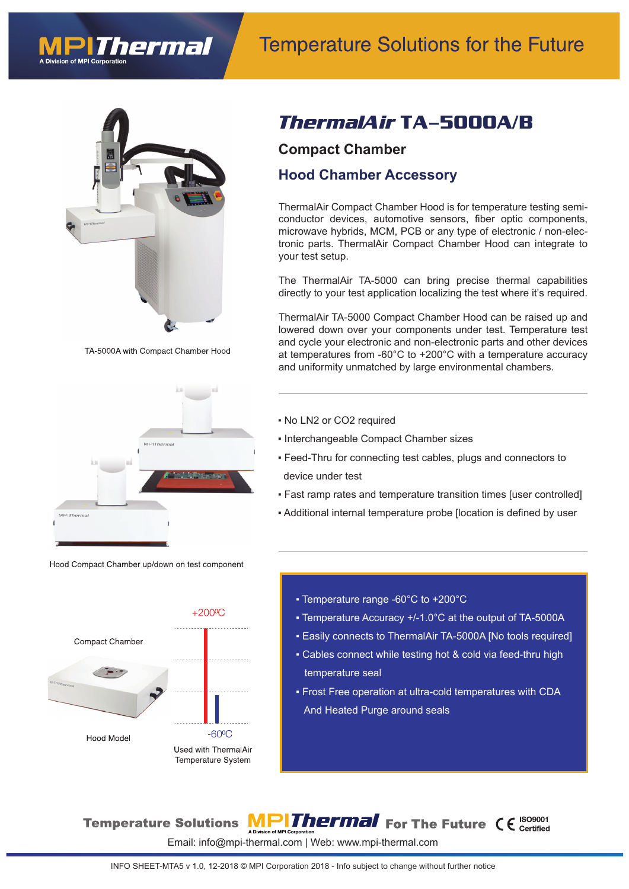



TA-5000A with Compact Chamber Hood



Hood Compact Chamber up/down on test component



## *ThermalAir* **TA-5000A/B**

#### **Compact Chamber**

#### **Hood Chamber Accessory**

ThermalAir Compact Chamber Hood is for temperature testing semiconductor devices, automotive sensors, fiber optic components, microwave hybrids, MCM, PCB or any type of electronic / non-electronic parts. ThermalAir Compact Chamber Hood can integrate to your test setup.

The ThermalAir TA-5000 can bring precise thermal capabilities directly to your test application localizing the test where it's required.

ThermalAir TA-5000 Compact Chamber Hood can be raised up and lowered down over your components under test. Temperature test and cycle your electronic and non-electronic parts and other devices at temperatures from -60°C to +200°C with a temperature accuracy and uniformity unmatched by large environmental chambers.

- No LN2 or CO2 required
- Interchangeable Compact Chamber sizes
- Feed-Thru for connecting test cables, plugs and connectors to device under test
- Fast ramp rates and temperature transition times [user controlled]
- Additional internal temperature probe [location is defined by user
	- ƒTemperature range -60°C to +200°C
	- Temperature Accuracy +/-1.0°C at the output of TA-5000A
	- Easily connects to ThermalAir TA-5000A [No tools required]
	- Cables connect while testing hot & cold via feed-thru high temperature seal
	- Frost Free operation at ultra-cold temperatures with CDA And Heated Purge around seals